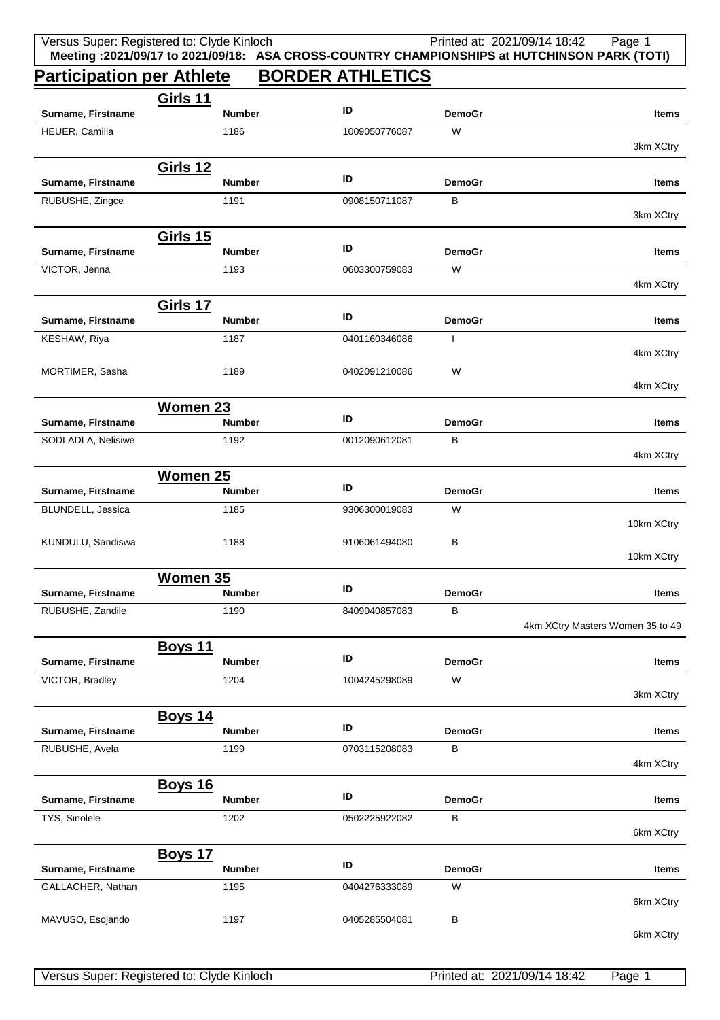|                                  | Versus Super: Registered to: Clyde Kinloch |                         |               | Printed at: 2021/09/14 18:42<br>Page 1<br>Meeting : 2021/09/17 to 2021/09/18: ASA CROSS-COUNTRY CHAMPIONSHIPS at HUTCHINSON PARK (TOTI) |  |  |  |
|----------------------------------|--------------------------------------------|-------------------------|---------------|-----------------------------------------------------------------------------------------------------------------------------------------|--|--|--|
| <b>Participation per Athlete</b> |                                            | <b>BORDER ATHLETICS</b> |               |                                                                                                                                         |  |  |  |
|                                  | <b>Girls 11</b>                            |                         |               |                                                                                                                                         |  |  |  |
| Surname, Firstname               | <b>Number</b>                              | ID                      | <b>DemoGr</b> | Items                                                                                                                                   |  |  |  |
| HEUER, Camilla                   | 1186                                       | 1009050776087           | W             | 3km XCtry                                                                                                                               |  |  |  |
| Surname, Firstname               | <b>Girls 12</b><br><b>Number</b>           | ID                      | <b>DemoGr</b> | Items                                                                                                                                   |  |  |  |
| RUBUSHE, Zingce                  | 1191                                       | 0908150711087           | B             | 3km XCtry                                                                                                                               |  |  |  |
|                                  | <b>Girls 15</b>                            |                         |               |                                                                                                                                         |  |  |  |
| Surname, Firstname               | <b>Number</b>                              | ID                      | <b>DemoGr</b> | <b>Items</b>                                                                                                                            |  |  |  |
| VICTOR, Jenna                    | 1193                                       | 0603300759083           | W             | 4km XCtry                                                                                                                               |  |  |  |
|                                  | <b>Girls 17</b>                            | ID                      |               |                                                                                                                                         |  |  |  |
| Surname, Firstname               | <b>Number</b>                              |                         | <b>DemoGr</b> | Items                                                                                                                                   |  |  |  |
| KESHAW, Riya                     | 1187                                       | 0401160346086           | $\mathbf{I}$  | 4km XCtry                                                                                                                               |  |  |  |
| MORTIMER, Sasha                  | 1189                                       | 0402091210086           | W             | 4km XCtry                                                                                                                               |  |  |  |
|                                  | <b>Women 23</b>                            |                         |               |                                                                                                                                         |  |  |  |
| Surname, Firstname               | <b>Number</b>                              | ID                      | <b>DemoGr</b> | Items                                                                                                                                   |  |  |  |
| SODLADLA, Nelisiwe               | 1192                                       | 0012090612081           | B             | 4km XCtry                                                                                                                               |  |  |  |
| <b>Women 25</b>                  |                                            |                         |               |                                                                                                                                         |  |  |  |
| Surname, Firstname               | <b>Number</b>                              | ID                      | <b>DemoGr</b> | Items                                                                                                                                   |  |  |  |
| BLUNDELL, Jessica                | 1185                                       | 9306300019083           | W             | 10km XCtry                                                                                                                              |  |  |  |
| KUNDULU, Sandiswa                | 1188                                       | 9106061494080           | в             |                                                                                                                                         |  |  |  |
| 10km XCtry                       |                                            |                         |               |                                                                                                                                         |  |  |  |
| Surname, Firstname               | Women 35<br><b>Number</b>                  | ID                      | <b>DemoGr</b> | <b>Items</b>                                                                                                                            |  |  |  |
| RUBUSHE, Zandile                 | 1190                                       | 8409040857083           | B             |                                                                                                                                         |  |  |  |
|                                  |                                            |                         |               | 4km XCtry Masters Women 35 to 49                                                                                                        |  |  |  |
| Surname, Firstname               | <b>Boys 11</b><br><b>Number</b>            | ID                      | <b>DemoGr</b> | Items                                                                                                                                   |  |  |  |
| VICTOR, Bradley                  | 1204                                       | 1004245298089           | W             |                                                                                                                                         |  |  |  |
|                                  |                                            |                         |               | 3km XCtry                                                                                                                               |  |  |  |
| Surname, Firstname               | <b>Boys 14</b><br><b>Number</b>            | ID                      | <b>DemoGr</b> | Items                                                                                                                                   |  |  |  |
| RUBUSHE, Avela                   | 1199                                       | 0703115208083           | в             | 4km XCtry                                                                                                                               |  |  |  |
|                                  |                                            |                         |               |                                                                                                                                         |  |  |  |
| Surname, Firstname               | <b>Boys 16</b><br><b>Number</b>            | ID                      | <b>DemoGr</b> | Items                                                                                                                                   |  |  |  |
| TYS, Sinolele                    | 1202                                       | 0502225922082           | B             | 6km XCtry                                                                                                                               |  |  |  |
|                                  | <b>Boys 17</b>                             |                         |               |                                                                                                                                         |  |  |  |
| Surname, Firstname               | <b>Number</b>                              | ID                      | <b>DemoGr</b> | <b>Items</b>                                                                                                                            |  |  |  |
| GALLACHER, Nathan                | 1195                                       | 0404276333089           | W             | 6km XCtry                                                                                                                               |  |  |  |
| MAVUSO, Esojando                 | 1197                                       | 0405285504081           | в             |                                                                                                                                         |  |  |  |
|                                  |                                            |                         |               | 6km XCtry                                                                                                                               |  |  |  |